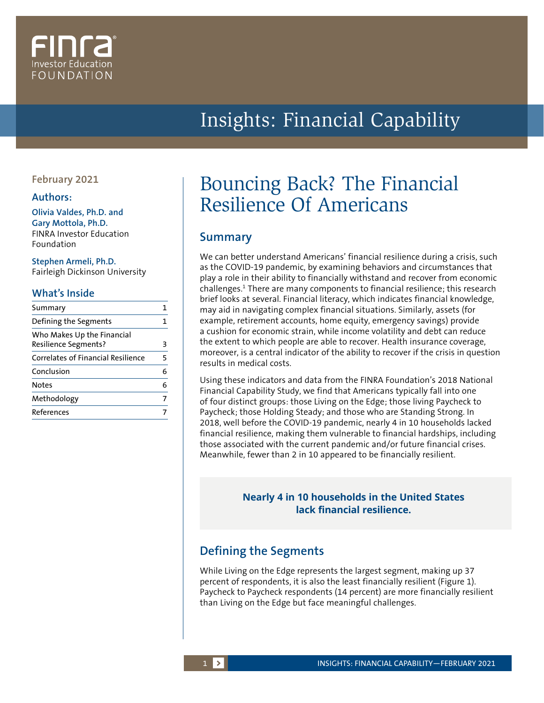# Investor Educatior FOUNDATION

## Insights: Financial Capability

### **February 2021**

#### **Authors:**

**Olivia Valdes, Ph.D. and Gary Mottola, Ph.D.** FINRA Investor Education Foundation

#### **Stephen Armeli, Ph.D.**

Fairleigh Dickinson University

#### **What's Inside**

| Summary                                                   |   |
|-----------------------------------------------------------|---|
| Defining the Segments                                     | 1 |
| Who Makes Up the Financial<br><b>Resilience Segments?</b> | З |
| <b>Correlates of Financial Resilience</b>                 | 5 |
| Conclusion                                                | 6 |
| Notes                                                     | 6 |
| Methodology                                               | 7 |
| References                                                |   |
|                                                           |   |

## Bouncing Back? The Financial Resilience Of Americans

## **Summary**

We can better understand Americans' financial resilience during a crisis, such as the COVID-19 pandemic, by examining behaviors and circumstances that play a role in their ability to financially withstand and recover from economic challenges.<sup>1</sup> There are many components to financial resilience; this research brief looks at several. Financial literacy, which indicates financial knowledge, may aid in navigating complex financial situations. Similarly, assets (for example, retirement accounts, home equity, emergency savings) provide a cushion for economic strain, while income volatility and debt can reduce the extent to which people are able to recover. Health insurance coverage, moreover, is a central indicator of the ability to recover if the crisis in question results in medical costs.

Using these indicators and data from the FINRA Foundation's 2018 National Financial Capability Study, we find that Americans typically fall into one of four distinct groups: those Living on the Edge; those living Paycheck to Paycheck; those Holding Steady; and those who are Standing Strong. In 2018, well before the COVID-19 pandemic, nearly 4 in 10 households lacked financial resilience, making them vulnerable to financial hardships, including those associated with the current pandemic and/or future financial crises. Meanwhile, fewer than 2 in 10 appeared to be financially resilient.

### **Nearly 4 in 10 households in the United States lack financial resilience.**

## **Defining the Segments**

While Living on the Edge represents the largest segment, making up 37 percent of respondents, it is also the least financially resilient (Figure 1). Paycheck to Paycheck respondents (14 percent) are more financially resilient than Living on the Edge but face meaningful challenges.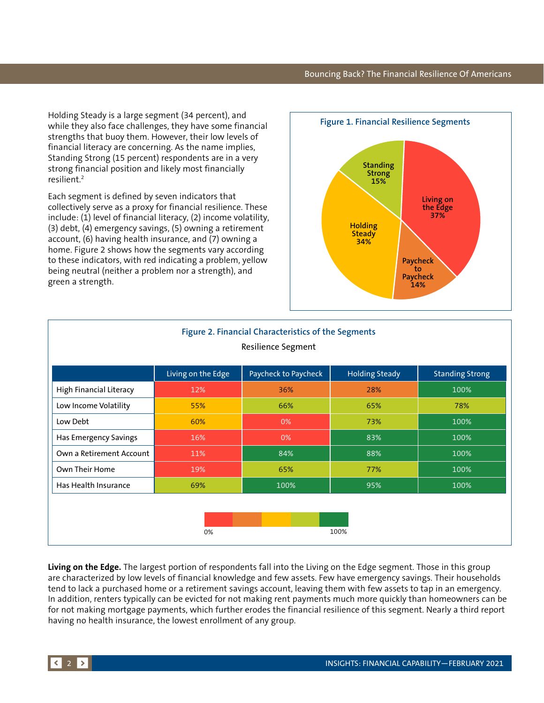Holding Steady is a large segment (34 percent), and while they also face challenges, they have some financial strengths that buoy them. However, their low levels of financial literacy are concerning. As the name implies, Standing Strong (15 percent) respondents are in a very strong financial position and likely most financially resilient.2

Each segment is defined by seven indicators that collectively serve as a proxy for financial resilience. These include: (1) level of financial literacy, (2) income volatility, (3) debt, (4) emergency savings, (5) owning a retirement account, (6) having health insurance, and (7) owning a home. Figure 2 shows how the segments vary according to these indicators, with red indicating a problem, yellow being neutral (neither a problem nor a strength), and green a strength.



| Figure 2. Financial Characteristics of the Segments<br>Resilience Segment |                    |                      |                       |                        |  |  |  |  |  |
|---------------------------------------------------------------------------|--------------------|----------------------|-----------------------|------------------------|--|--|--|--|--|
|                                                                           | Living on the Edge | Paycheck to Paycheck | <b>Holding Steady</b> | <b>Standing Strong</b> |  |  |  |  |  |
| <b>High Financial Literacy</b>                                            | 12%                | 36%                  | 28%                   | 100%                   |  |  |  |  |  |
| Low Income Volatility                                                     | 55%                | 66%                  | 65%                   | 78%                    |  |  |  |  |  |
| Low Debt                                                                  | 60%                | 0%                   | 73%                   | 100%                   |  |  |  |  |  |
| Has Emergency Savings                                                     | 16%                | 0%                   | 83%                   | 100%                   |  |  |  |  |  |
| Own a Retirement Account                                                  | 11%                | 84%                  | 88%                   | 100%                   |  |  |  |  |  |
| Own Their Home                                                            | 19%                | 65%                  | 77%                   | 100%                   |  |  |  |  |  |
| Has Health Insurance                                                      | 69%                | 100%                 | 95%                   | 100%                   |  |  |  |  |  |
|                                                                           |                    |                      |                       |                        |  |  |  |  |  |
|                                                                           | 0%                 | 100%                 |                       |                        |  |  |  |  |  |

**Living on the Edge.** The largest portion of respondents fall into the Living on the Edge segment. Those in this group are characterized by low levels of financial knowledge and few assets. Few have emergency savings. Their households tend to lack a purchased home or a retirement savings account, leaving them with few assets to tap in an emergency. In addition, renters typically can be evicted for not making rent payments much more quickly than homeowners can be for not making mortgage payments, which further erodes the financial resilience of this segment. Nearly a third report having no health insurance, the lowest enrollment of any group.

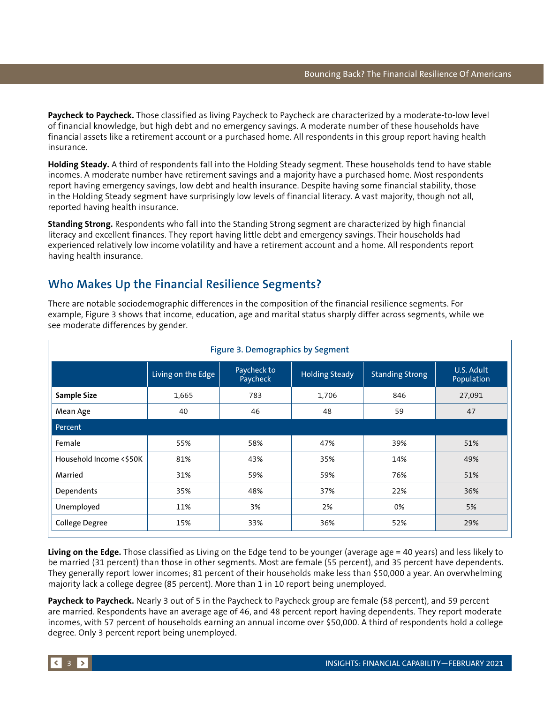<span id="page-2-0"></span>**Paycheck to Paycheck.** Those classified as living Paycheck to Paycheck are characterized by a moderate-to-low level of financial knowledge, but high debt and no emergency savings. A moderate number of these households have financial assets like a retirement account or a purchased home. All respondents in this group report having health insurance.

**Holding Steady.** A third of respondents fall into the Holding Steady segment. These households tend to have stable incomes. A moderate number have retirement savings and a majority have a purchased home. Most respondents report having emergency savings, low debt and health insurance. Despite having some financial stability, those in the Holding Steady segment have surprisingly low levels of financial literacy. A vast majority, though not all, reported having health insurance.

**Standing Strong.** Respondents who fall into the Standing Strong segment are characterized by high financial literacy and excellent finances. They report having little debt and emergency savings. Their households had experienced relatively low income volatility and have a retirement account and a home. All respondents report having health insurance.

## **Who Makes Up the Financial Resilience Segments?**

| Figure 3. Demographics by Segment |                    |                         |                       |                        |                          |  |  |  |
|-----------------------------------|--------------------|-------------------------|-----------------------|------------------------|--------------------------|--|--|--|
|                                   | Living on the Edge | Paycheck to<br>Paycheck | <b>Holding Steady</b> | <b>Standing Strong</b> | U.S. Adult<br>Population |  |  |  |
| <b>Sample Size</b>                | 1,665              | 783                     | 1,706                 | 846                    | 27,091                   |  |  |  |
| Mean Age                          | 40                 | 46                      | 48                    | 59                     | 47                       |  |  |  |
| Percent                           |                    |                         |                       |                        |                          |  |  |  |
| Female                            | 55%                | 58%                     | 47%                   | 39%                    | 51%                      |  |  |  |
| Household Income <\$50K           | 81%                | 43%                     | 35%                   | 14%                    | 49%                      |  |  |  |
| Married                           | 31%                | 59%                     | 59%                   | 76%                    | 51%                      |  |  |  |
| Dependents                        | 35%                | 48%                     | 37%                   | 22%                    | 36%                      |  |  |  |
| Unemployed                        | 11%                | 3%                      | 2%                    | 0%                     | 5%                       |  |  |  |
| College Degree                    | 15%                | 33%                     | 36%                   | 52%                    | 29%                      |  |  |  |

There are notable sociodemographic differences in the composition of the financial resilience segments. For example, Figure 3 shows that income, education, age and marital status sharply differ across segments, while we see moderate differences by gender.

**Living on the Edge.** Those classified as Living on the Edge tend to be younger (average age = 40 years) and less likely to be married (31 percent) than those in other segments. Most are female (55 percent), and 35 percent have dependents. They generally report lower incomes; 81 percent of their households make less than \$50,000 a year. An overwhelming majority lack a college degree (85 percent). More than 1 in 10 report being unemployed.

**Paycheck to Paycheck.** Nearly 3 out of 5 in the Paycheck to Paycheck group are female (58 percent), and 59 percent are married. Respondents have an average age of 46, and 48 percent report having dependents. They report moderate incomes, with 57 percent of households earning an annual income over \$50,000. A third of respondents hold a college degree. Only 3 percent report being unemployed.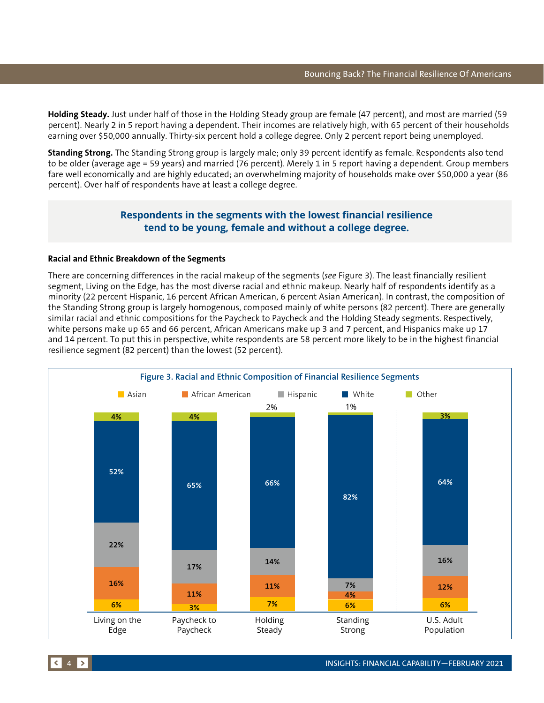**Holding Steady.** Just under half of those in the Holding Steady group are female (47 percent), and most are married (59 percent). Nearly 2 in 5 report having a dependent. Their incomes are relatively high, with 65 percent of their households earning over \$50,000 annually. Thirty-six percent hold a college degree. Only 2 percent report being unemployed.

**Standing Strong.** The Standing Strong group is largely male; only 39 percent identify as female. Respondents also tend to be older (average age = 59 years) and married (76 percent). Merely 1 in 5 report having a dependent. Group members fare well economically and are highly educated; an overwhelming majority of households make over \$50,000 a year (86 percent). Over half of respondents have at least a college degree.

#### **Respondents in the segments with the lowest financial resilience tend to be young, female and without a college degree.**

#### **Racial and Ethnic Breakdown of the Segments**

There are concerning differences in the racial makeup of the segments (*see* Figure 3). The least financially resilient segment, Living on the Edge, has the most diverse racial and ethnic makeup. Nearly half of respondents identify as a minority (22 percent Hispanic, 16 percent African American, 6 percent Asian American). In contrast, the composition of the Standing Strong group is largely homogenous, composed mainly of white persons (82 percent). There are generally similar racial and ethnic compositions for the Paycheck to Paycheck and the Holding Steady segments. Respectively, white persons make up 65 and 66 percent, African Americans make up 3 and 7 percent, and Hispanics make up 17 and 14 percent. To put this in perspective, white respondents are 58 percent more likely to be in the highest financial resilience segment (82 percent) than the lowest (52 percent).

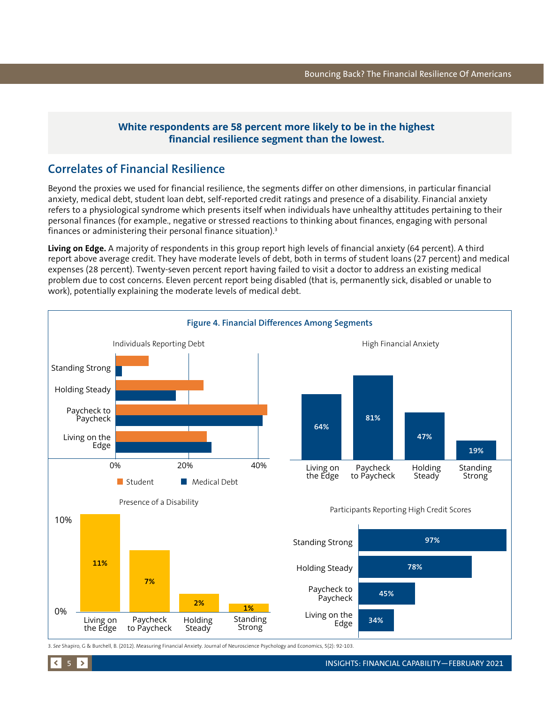### **White respondents are 58 percent more likely to be in the highest financial resilience segment than the lowest.**

## <span id="page-4-0"></span>**Correlates of Financial Resilience**

Beyond the proxies we used for financial resilience, the segments differ on other dimensions, in particular financial anxiety, medical debt, student loan debt, self-reported credit ratings and presence of a disability. Financial anxiety refers to a physiological syndrome which presents itself when individuals have unhealthy attitudes pertaining to their personal finances (for example., negative or stressed reactions to thinking about finances, engaging with personal finances or administering their personal finance situation).3

**Living on Edge.** A majority of respondents in this group report high levels of financial anxiety (64 percent). A third report above average credit. They have moderate levels of debt, both in terms of student loans (27 percent) and medical expenses (28 percent). Twenty-seven percent report having failed to visit a doctor to address an existing medical problem due to cost concerns. Eleven percent report being disabled (that is, permanently sick, disabled or unable to work), potentially explaining the moderate levels of medical debt.



3. *See* Shapiro, G & Burchell, B. (2012). Measuring Financial Anxiety. Journal of Neuroscience Psychology and Economics, 5(2): 92-103.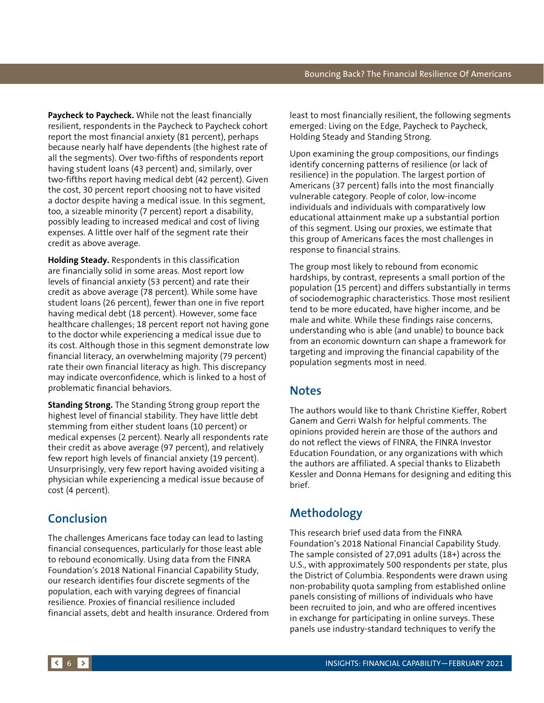<span id="page-5-0"></span>**Paycheck to Paycheck.** While not the least financially resilient, respondents in the Paycheck to Paycheck cohort report the most financial anxiety (81 percent), perhaps because nearly half have dependents (the highest rate of all the segments). Over two-fifths of respondents report having student loans (43 percent) and, similarly, over two-fifths report having medical debt (42 percent). Given the cost, 30 percent report choosing not to have visited a doctor despite having a medical issue. In this segment, too, a sizeable minority (7 percent) report a disability, possibly leading to increased medical and cost of living expenses. A little over half of the segment rate their credit as above average.

**Holding Steady.** Respondents in this classification are financially solid in some areas. Most report low levels of financial anxiety (53 percent) and rate their credit as above average (78 percent). While some have student loans (26 percent), fewer than one in five report having medical debt (18 percent). However, some face healthcare challenges; 18 percent report not having gone to the doctor while experiencing a medical issue due to its cost. Although those in this segment demonstrate low financial literacy, an overwhelming majority (79 percent) rate their own financial literacy as high. This discrepancy may indicate overconfidence, which is linked to a host of problematic financial behaviors.

**Standing Strong.** The Standing Strong group report the highest level of financial stability. They have little debt stemming from either student loans (10 percent) or medical expenses (2 percent). Nearly all respondents rate their credit as above average (97 percent), and relatively few report high levels of financial anxiety (19 percent). Unsurprisingly, very few report having avoided visiting a physician while experiencing a medical issue because of cost (4 percent).

## **Conclusion**

The challenges Americans face today can lead to lasting financial consequences, particularly for those least able to rebound economically. Using data from the FINRA Foundation's 2018 National Financial Capability Study, our research identifies four discrete segments of the population, each with varying degrees of financial resilience. Proxies of financial resilience included financial assets, debt and health insurance. Ordered from least to most financially resilient, the following segments emerged: Living on the Edge, Paycheck to Paycheck, Holding Steady and Standing Strong.

Upon examining the group compositions, our findings identify concerning patterns of resilience (or lack of resilience) in the population. The largest portion of Americans (37 percent) falls into the most financially vulnerable category. People of color, low-income individuals and individuals with comparatively low educational attainment make up a substantial portion of this segment. Using our proxies, we estimate that this group of Americans faces the most challenges in response to financial strains.

The group most likely to rebound from economic hardships, by contrast, represents a small portion of the population (15 percent) and differs substantially in terms of sociodemographic characteristics. Those most resilient tend to be more educated, have higher income, and be male and white. While these findings raise concerns, understanding who is able (and unable) to bounce back from an economic downturn can shape a framework for targeting and improving the financial capability of the population segments most in need.

## **Notes**

The authors would like to thank Christine Kieffer, Robert Ganem and Gerri Walsh for helpful comments. The opinions provided herein are those of the authors and do not reflect the views of FINRA, the FINRA Investor Education Foundation, or any organizations with which the authors are affiliated. A special thanks to Elizabeth Kessler and Donna Hemans for designing and editing this brief.

## **Methodology**

This research brief used data from the FINRA Foundation's 2018 National Financial Capability Study. The sample consisted of 27,091 adults (18+) across the U.S., with approximately 500 respondents per state, plus the District of Columbia. Respondents were drawn using non-probability quota sampling from established online panels consisting of millions of individuals who have been recruited to join, and who are offered incentives in exchange for participating in online surveys. These panels use industry-standard techniques to verify the